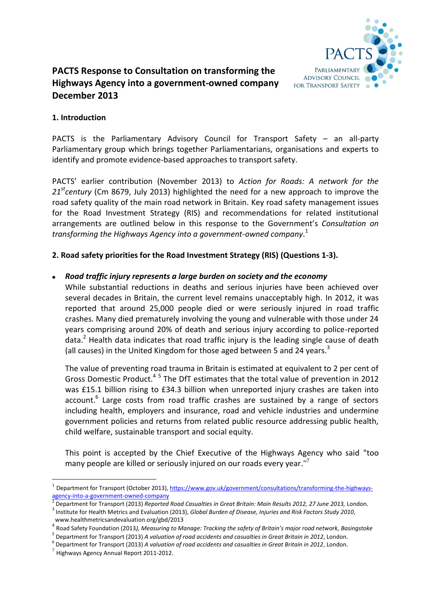

# **PACTS Response to Consultation on transforming the Highways Agency into a government-owned company December 2013**

# **1. Introduction**

PACTS is the Parliamentary Advisory Council for Transport Safety – an all-party Parliamentary group which brings together Parliamentarians, organisations and experts to identify and promote evidence-based approaches to transport safety.

PACTS' earlier contribution (November 2013) to *Action for Roads: A network for the 21stcentury* (Cm 8679, July 2013) highlighted the need for a new approach to improve the road safety quality of the main road network in Britain. Key road safety management issues for the Road Investment Strategy (RIS) and recommendations for related institutional arrangements are outlined below in this response to the Government's *Consultation on transforming the Highways Agency into a government-owned company*. 1

## **2. Road safety priorities for the Road Investment Strategy (RIS) (Questions 1-3).**

#### *Road traffic injury represents a large burden on society and the economy*

While substantial reductions in deaths and serious injuries have been achieved over several decades in Britain, the current level remains unacceptably high. In 2012, it was reported that around 25,000 people died or were seriously injured in road traffic crashes. Many died prematurely involving the young and vulnerable with those under 24 years comprising around 20% of death and serious injury according to police-reported data.<sup>2</sup> Health data indicates that road traffic injury is the leading single cause of death (all causes) in the United Kingdom for those aged between 5 and 24 years. $3$ 

The value of preventing road trauma in Britain is estimated at equivalent to 2 per cent of Gross Domestic Product.<sup>45</sup> The DfT estimates that the total value of prevention in 2012 was £15.1 billion rising to £34.3 billion when unreported injury crashes are taken into account.<sup>6</sup> Large costs from road traffic crashes are sustained by a range of sectors including health, employers and insurance, road and vehicle industries and undermine government policies and returns from related public resource addressing public health, child welfare, sustainable transport and social equity.

This point is accepted by the Chief Executive of the Highways Agency who said "too many people are killed or seriously injured on our roads every year."<sup>7</sup>

1

<sup>1</sup> Department for Transport (October 2013), [https://www.gov.uk/government/consultations/transforming-the-highways](https://www.gov.uk/government/consultations/transforming-the-highways-agency-into-a-government-owned-company)[agency-into-a-government-owned-company](https://www.gov.uk/government/consultations/transforming-the-highways-agency-into-a-government-owned-company)<br>2 Department for Transport (2013) Benerted

Department for Transport (2013) *Reported Road Casualties in Great Britain: Main Results 2012, 27 June 2013,* London. 3 Institute for Health Metrics and Evaluation (2013), *Global Burden of Disease, Injuries and Risk Factors Study 2010*, www.healthmetricsandevaluation.org/gbd/2013

<sup>4</sup> Road Safety Foundation (2013*), Measuring to Manage: Tracking the safety of Britain's major road network, Basingstoke*

<sup>5</sup> Department for Transport (2013) *A valuation of road accidents and casualties in Great Britain in 2012*, London.

<sup>6</sup> Department for Transport (2013) *A valuation of road accidents and casualties in Great Britain in 2012*, London.

 $^{7}$  Highways Agency Annual Report 2011-2012.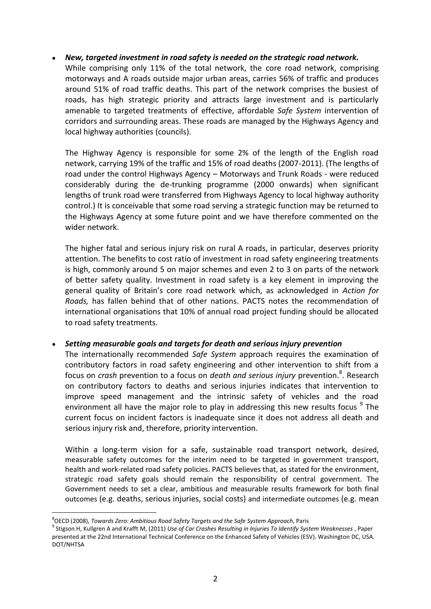## *New, targeted investment in road safety is needed on the strategic road network.*

While comprising only 11% of the total network, the core road network, comprising motorways and A roads outside major urban areas, carries 56% of traffic and produces around 51% of road traffic deaths. This part of the network comprises the busiest of roads, has high strategic priority and attracts large investment and is particularly amenable to targeted treatments of effective, affordable *Safe System* intervention of corridors and surrounding areas. These roads are managed by the Highways Agency and local highway authorities (councils).

The Highway Agency is responsible for some 2% of the length of the English road network, carrying 19% of the traffic and 15% of road deaths (2007-2011). (The lengths of road under the control Highways Agency – Motorways and Trunk Roads - were reduced considerably during the de-trunking programme (2000 onwards) when significant lengths of trunk road were transferred from Highways Agency to local highway authority control.) It is conceivable that some road serving a strategic function may be returned to the Highways Agency at some future point and we have therefore commented on the wider network.

The higher fatal and serious injury risk on rural A roads, in particular, deserves priority attention. The benefits to cost ratio of investment in road safety engineering treatments is high, commonly around 5 on major schemes and even 2 to 3 on parts of the network of better safety quality. Investment in road safety is a key element in improving the general quality of Britain's core road network which, as acknowledged in *Action for Roads,* has fallen behind that of other nations. PACTS notes the recommendation of international organisations that 10% of annual road project funding should be allocated to road safety treatments.

#### *Setting measurable goals and targets for death and serious injury prevention*

The internationally recommended *Safe System* approach requires the examination of contributory factors in road safety engineering and other intervention to shift from a focus on *crash* prevention to a focus on *death and serious injury* prevention. 8 . Research on contributory factors to deaths and serious injuries indicates that intervention to improve speed management and the intrinsic safety of vehicles and the road environment all have the major role to play in addressing this new results focus <sup>9</sup> The current focus on incident factors is inadequate since it does not address all death and serious injury risk and, therefore, priority intervention.

Within a long-term vision for a safe, sustainable road transport network, desired, measurable safety outcomes for the interim need to be targeted in government transport, health and work-related road safety policies. PACTS believes that, as stated for the environment, strategic road safety goals should remain the responsibility of central government. The Government needs to set a clear, ambitious and measurable results framework for both final outcomes (e.g. deaths, serious injuries, social costs) and intermediate outcomes (e.g. mean

-

<sup>8</sup> OECD (2008), *Towards Zero: Ambitious Road Safety Targets and the Safe System Approach*, Paris

<sup>9</sup> Stigson H, Kullgren A and Krafft M, (2011) *Use of Car Crashes Resulting in Injuries To Identify System Weaknesses* , Paper presented at the 22nd International Technical Conference on the Enhanced Safety of Vehicles (ESV). Washington DC, USA. DOT/NHTSA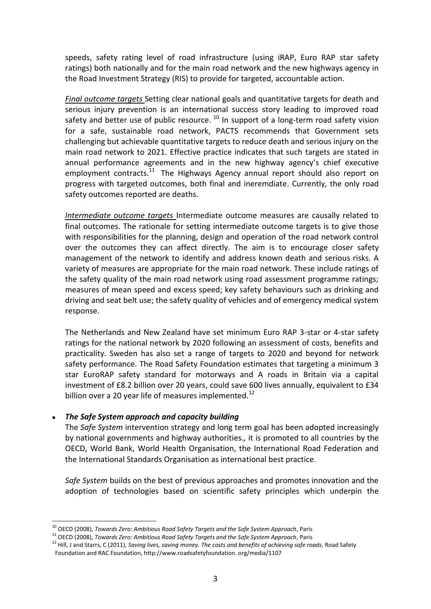speeds, safety rating level of road infrastructure (using iRAP, Euro RAP star safety ratings) both nationally and for the main road network and the new highways agency in the Road Investment Strategy (RIS) to provide for targeted, accountable action.

*Final outcome targets* Setting clear national goals and quantitative targets for death and serious injury prevention is an international success story leading to improved road safety and better use of public resource. <sup>10</sup> In support of a long-term road safety vision for a safe, sustainable road network, PACTS recommends that Government sets challenging but achievable quantitative targets to reduce death and serious injury on the main road network to 2021. Effective practice indicates that such targets are stated in annual performance agreements and in the new highway agency's chief executive employment contracts.<sup>11</sup> The Highways Agency annual report should also report on progress with targeted outcomes, both final and ineremdiate. Currently, the only road safety outcomes reported are deaths.

*Intermediate outcome targets* Intermediate outcome measures are causally related to final outcomes. The rationale for setting intermediate outcome targets is to give those with responsibilities for the planning, design and operation of the road network control over the outcomes they can affect directly. The aim is to encourage closer safety management of the network to identify and address known death and serious risks. A variety of measures are appropriate for the main road network. These include ratings of the safety quality of the main road network using road assessment programme ratings; measures of mean speed and excess speed; key safety behaviours such as drinking and driving and seat belt use; the safety quality of vehicles and of emergency medical system response.

The Netherlands and New Zealand have set minimum Euro RAP 3-star or 4-star safety ratings for the national network by 2020 following an assessment of costs, benefits and practicality. Sweden has also set a range of targets to 2020 and beyond for network safety performance. The Road Safety Foundation estimates that targeting a minimum 3 star EuroRAP safety standard for motorways and A roads in Britain via a capital investment of £8.2 billion over 20 years, could save 600 lives annually, equivalent to £34 billion over a 20 year life of measures implemented.<sup>12</sup>

#### *The Safe System approach and capacity building*

<u>.</u>

The *Safe System* intervention strategy and long term goal has been adopted increasingly by national governments and highway authorities.*,* it is promoted to all countries by the OECD, World Bank, World Health Organisation, the International Road Federation and the International Standards Organisation as international best practice.

*Safe System* builds on the best of previous approaches and promotes innovation and the adoption of technologies based on scientific safety principles which underpin the

<sup>10</sup> OECD (2008), *Towards Zero: Ambitious Road Safety Targets and the Safe System Approach*, Paris

<sup>11</sup> OECD (2008), *Towards Zero: Ambitious Road Safety Targets and the Safe System Approach*, Paris

<sup>12</sup> Hill, J and Starrs, C (2011), *Saving lives, saving money. The costs and benefits of achieving safe roads*, Road Safety Foundation and RAC Foundation, http://www.roadsafetyfoundation. org/media/1107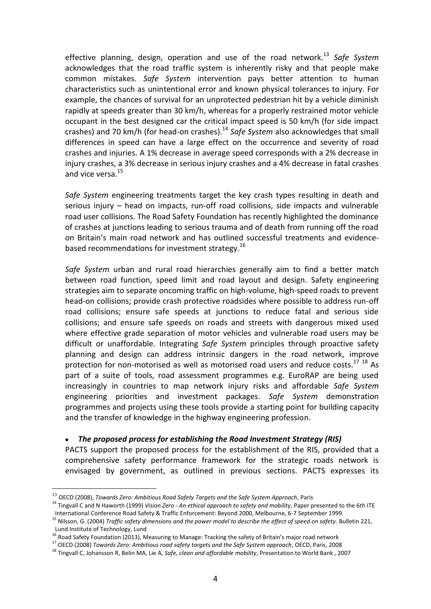effective planning, design, operation and use of the road network. <sup>13</sup> *Safe System* acknowledges that the road traffic system is inherently risky and that people make common mistakes. *Safe System* intervention pays better attention to human characteristics such as unintentional error and known physical tolerances to injury. For example, the chances of survival for an unprotected pedestrian hit by a vehicle diminish rapidly at speeds greater than 30 km/h, whereas for a properly restrained motor vehicle occupant in the best designed car the critical impact speed is 50 km/h (for side impact crashes) and 70 km/h (for head-on crashes).<sup>14</sup> *Safe System* also acknowledges that small differences in speed can have a large effect on the occurrence and severity of road crashes and injuries. A 1% decrease in average speed corresponds with a 2% decrease in injury crashes, a 3% decrease in serious injury crashes and a 4% decrease in fatal crashes and vice versa.<sup>15</sup>

*Safe System* engineering treatments target the key crash types resulting in death and serious injury – head on impacts, run-off road collisions, side impacts and vulnerable road user collisions. The Road Safety Foundation has recently highlighted the dominance of crashes at junctions leading to serious trauma and of death from running off the road on Britain's main road network and has outlined successful treatments and evidencebased recommendations for investment strategy.<sup>16</sup>

*Safe System* urban and rural road hierarchies generally aim to find a better match between road function, speed limit and road layout and design. Safety engineering strategies aim to separate oncoming traffic on high-volume, high-speed roads to prevent head-on collisions; provide crash protective roadsides where possible to address run-off road collisions; ensure safe speeds at junctions to reduce fatal and serious side collisions; and ensure safe speeds on roads and streets with dangerous mixed used where effective grade separation of motor vehicles and vulnerable road users may be difficult or unaffordable. Integrating *Safe System* principles through proactive safety planning and design can address intrinsic dangers in the road network, improve protection for non-motorised as well as motorised road users and reduce costs. $^{17}$   $^{18}$  As part of a suite of tools, road assessment programmes e.g. EuroRAP are being used increasingly in countries to map network injury risks and affordable *Safe System* engineering priorities and investment packages. *Safe System* demonstration programmes and projects using these tools provide a starting point for building capacity and the transfer of knowledge in the highway engineering profession.

*The proposed process for establishing the Road Investment Strategy (RIS)*

PACTS support the proposed process for the establishment of the RIS, provided that a comprehensive safety performance framework for the strategic roads network is envisaged by government, as outlined in previous sections. PACTS expresses its

<u>.</u>

<sup>13</sup> OECD (2008), *Towards Zero: Ambitious Road Safety Targets and the Safe System Approach*, Paris

<sup>14</sup> Tingvall C and N Haworth (1999) *Vision Zero - An ethical approach to safety and mobility*, Paper presented to the 6th ITE International Conference Road Safety & Traffic Enforcement: Beyond 2000, Melbourne, 6-7 September 1999.

<sup>15</sup> Nilsson, G. (2004) *Traffic safety dimensions and the power model to describe the effect of speed on safety*. Bulletin 221, Lund Institute of Technology, Lund

<sup>16</sup> Road Safety Foundation (2013), Measuring to Manage: Tracking the safety of Britain's major road network

<sup>17</sup> OECD (2008) *Towards Zero: Ambitious road safety targets and the Safe System approach*, OECD, Paris, 2008

<sup>18</sup> Tingvall C, Johansson R, Belin MA, Lie A, *Safe, clean and affordable mobility*, Presentation to World Bank , 2007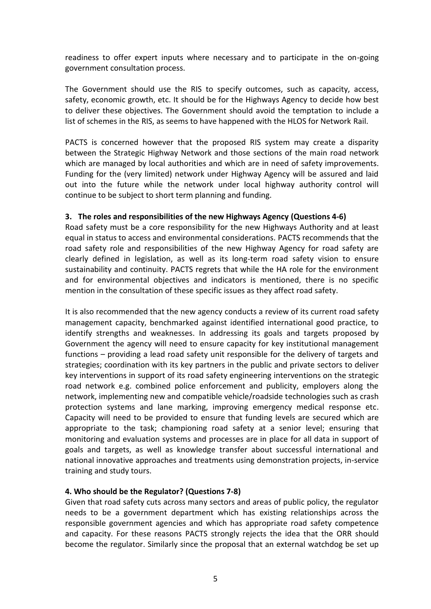readiness to offer expert inputs where necessary and to participate in the on-going government consultation process.

The Government should use the RIS to specify outcomes, such as capacity, access, safety, economic growth, etc. It should be for the Highways Agency to decide how best to deliver these objectives. The Government should avoid the temptation to include a list of schemes in the RIS, as seems to have happened with the HLOS for Network Rail.

PACTS is concerned however that the proposed RIS system may create a disparity between the Strategic Highway Network and those sections of the main road network which are managed by local authorities and which are in need of safety improvements. Funding for the (very limited) network under Highway Agency will be assured and laid out into the future while the network under local highway authority control will continue to be subject to short term planning and funding.

#### **3. The roles and responsibilities of the new Highways Agency (Questions 4-6)**

Road safety must be a core responsibility for the new Highways Authority and at least equal in status to access and environmental considerations. PACTS recommends that the road safety role and responsibilities of the new Highway Agency for road safety are clearly defined in legislation, as well as its long-term road safety vision to ensure sustainability and continuity. PACTS regrets that while the HA role for the environment and for environmental objectives and indicators is mentioned, there is no specific mention in the consultation of these specific issues as they affect road safety.

It is also recommended that the new agency conducts a review of its current road safety management capacity, benchmarked against identified international good practice, to identify strengths and weaknesses. In addressing its goals and targets proposed by Government the agency will need to ensure capacity for key institutional management functions – providing a lead road safety unit responsible for the delivery of targets and strategies; coordination with its key partners in the public and private sectors to deliver key interventions in support of its road safety engineering interventions on the strategic road network e.g. combined police enforcement and publicity, employers along the network, implementing new and compatible vehicle/roadside technologies such as crash protection systems and lane marking, improving emergency medical response etc. Capacity will need to be provided to ensure that funding levels are secured which are appropriate to the task; championing road safety at a senior level; ensuring that monitoring and evaluation systems and processes are in place for all data in support of goals and targets, as well as knowledge transfer about successful international and national innovative approaches and treatments using demonstration projects, in-service training and study tours.

## **4. Who should be the Regulator? (Questions 7-8)**

Given that road safety cuts across many sectors and areas of public policy, the regulator needs to be a government department which has existing relationships across the responsible government agencies and which has appropriate road safety competence and capacity. For these reasons PACTS strongly rejects the idea that the ORR should become the regulator. Similarly since the proposal that an external watchdog be set up